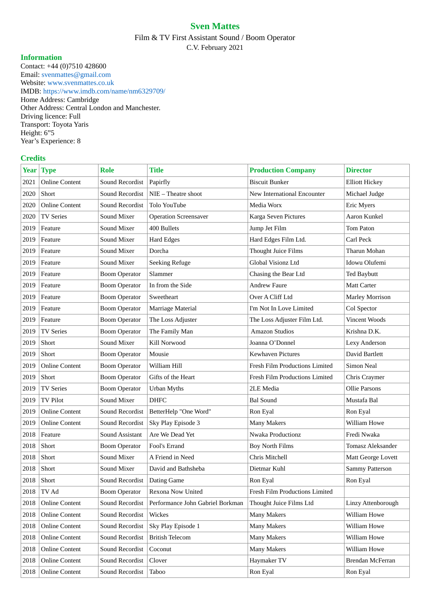## **Sven Mattes**

Film & TV First Assistant Sound / Boom Operator C.V. February 2021

## **Information**

Contact: +44 (0)7510 428600 Email: svenmattes@gmail.com Website: www.svenmattes.co.uk IMDB: https://www.imdb.com/name/nm6329709/ Home Address: Cambridge Other Address: Central London and Manchester. Driving licence: Full Transport: Toyota Yaris Height: 6"5 Year's Experience: 8

## **Credits**

|      | Year Type             | <b>Role</b>             | <b>Title</b>                     | <b>Production Company</b>      | <b>Director</b>        |
|------|-----------------------|-------------------------|----------------------------------|--------------------------------|------------------------|
| 2021 | <b>Online Content</b> | Sound Recordist         | Papirfly                         | <b>Biscuit Bunker</b>          | <b>Elliott Hickey</b>  |
| 2020 | Short                 | Sound Recordist         | NIE - Theatre shoot              | New International Encounter    | Michael Judge          |
| 2020 | <b>Online Content</b> | Sound Recordist         | Tolo YouTube                     | Media Worx                     | <b>Eric Myers</b>      |
| 2020 | <b>TV Series</b>      | Sound Mixer             | <b>Operation Screensaver</b>     | Karga Seven Pictures           | Aaron Kunkel           |
| 2019 | Feature               | Sound Mixer             | 400 Bullets                      | Jump Jet Film                  | Tom Paton              |
| 2019 | Feature               | Sound Mixer             | <b>Hard Edges</b>                | Hard Edges Film Ltd.           | Carl Peck              |
| 2019 | Feature               | Sound Mixer             | Dorcha                           | <b>Thought Juice Films</b>     | Tharun Mohan           |
| 2019 | Feature               | Sound Mixer             | <b>Seeking Refuge</b>            | Global Visionz Ltd             | Idowu Olufemi          |
| 2019 | Feature               | <b>Boom Operator</b>    | Slammer                          | Chasing the Bear Ltd           | <b>Ted Baybutt</b>     |
| 2019 | Feature               | <b>Boom Operator</b>    | In from the Side                 | <b>Andrew Faure</b>            | Matt Carter            |
| 2019 | Feature               | <b>Boom Operator</b>    | Sweetheart                       | Over A Cliff Ltd               | <b>Marley Morrison</b> |
| 2019 | Feature               | <b>Boom Operator</b>    | Marriage Material                | I'm Not In Love Limited        | Col Spector            |
| 2019 | Feature               | <b>Boom Operator</b>    | The Loss Adjuster                | The Loss Adjuster Film Ltd.    | Vincent Woods          |
| 2019 | <b>TV Series</b>      | <b>Boom Operator</b>    | The Family Man                   | <b>Amazon Studios</b>          | Krishna D.K.           |
| 2019 | Short                 | Sound Mixer             | Kill Norwood                     | Joanna O'Donnel                | <b>Lexy Anderson</b>   |
| 2019 | Short                 | <b>Boom Operator</b>    | Mousie                           | <b>Kewhaven Pictures</b>       | David Bartlett         |
| 2019 | <b>Online Content</b> | <b>Boom Operator</b>    | William Hill                     | Fresh Film Productions Limited | Simon Neal             |
| 2019 | Short                 | <b>Boom Operator</b>    | Gifts of the Heart               | Fresh Film Productions Limited | Chris Craymer          |
| 2019 | <b>TV Series</b>      | <b>Boom Operator</b>    | <b>Urban Myths</b>               | 2LE Media                      | <b>Ollie Parsons</b>   |
| 2019 | <b>TV Pilot</b>       | Sound Mixer             | <b>DHFC</b>                      | <b>Bal Sound</b>               | Mustafa Bal            |
| 2019 | <b>Online Content</b> | Sound Recordist         | BetterHelp "One Word"            | Ron Eyal                       | Ron Eyal               |
| 2019 | <b>Online Content</b> | Sound Recordist         | Sky Play Episode 3               | <b>Many Makers</b>             | William Howe           |
| 2018 | Feature               | Sound Assistant         | Are We Dead Yet                  | Nwaka Productionz              | Fredi Nwaka            |
| 2018 | Short                 | <b>Boom Operator</b>    | Fool's Errand                    | <b>Boy North Films</b>         | Tomasz Aleksander      |
| 2018 | Short                 | Sound Mixer             | A Friend in Need                 | Chris Mitchell                 | Matt George Lovett     |
| 2018 | Short                 | Sound Mixer             | David and Bathsheba              | Dietmar Kuhl                   | Sammy Patterson        |
| 2018 | Short                 | Sound Recordist         | Dating Game                      | Ron Eyal                       | Ron Eyal               |
| 2018 | TV Ad                 | <b>Boom Operator</b>    | Rexona Now United                | Fresh Film Productions Limited |                        |
| 2018 | <b>Online Content</b> | Sound Recordist         | Performance John Gabriel Borkman | Thought Juice Films Ltd        | Linzy Attenborough     |
| 2018 | <b>Online Content</b> | Sound Recordist         | Wickes                           | <b>Many Makers</b>             | William Howe           |
| 2018 | <b>Online Content</b> | Sound Recordist         | Sky Play Episode 1               | <b>Many Makers</b>             | William Howe           |
| 2018 | <b>Online Content</b> | Sound Recordist         | <b>British Telecom</b>           | <b>Many Makers</b>             | William Howe           |
| 2018 | <b>Online Content</b> | Sound Recordist         | Coconut                          | <b>Many Makers</b>             | William Howe           |
| 2018 | <b>Online Content</b> | Sound Recordist         | Clover                           | Haymaker TV                    | Brendan McFerran       |
| 2018 | <b>Online Content</b> | Sound Recordist   Taboo |                                  | Ron Eyal                       | Ron Eyal               |